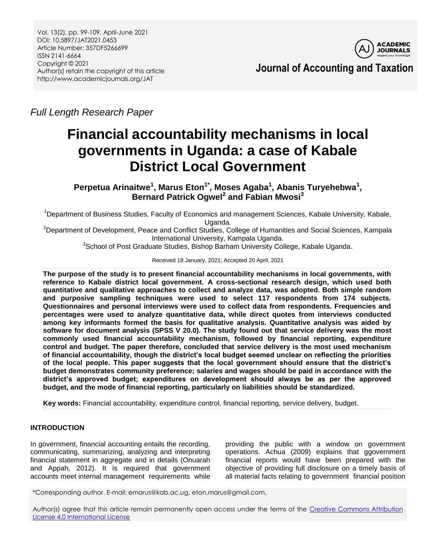Vol. 13(2), pp. 99-109, April-June 2021 DOI: 10.5897/JAT2021.0453 Article Number: 357DF5266699 ISSN 2141-6664 Copyright © 2021 Author(s) retain the copyright of this article http://www.academicjournals.org/JAT



**Journal of Accounting and Taxation**

*Full Length Research Paper*

# **Financial accountability mechanisms in local governments in Uganda: a case of Kabale District Local Government**

**Perpetua Arinaitwe<sup>1</sup> , Marus Eton1\*, Moses Agaba<sup>1</sup> , Abanis Turyehebwa<sup>1</sup> , Bernard Patrick Ogwel<sup>2</sup> and Fabian Mwosi<sup>3</sup>**

<sup>1</sup>Department of Business Studies, Faculty of Economics and management Sciences, Kabale University, Kabale, Uganda.

<sup>2</sup>Department of Development, Peace and Conflict Studies, College of Humanities and Social Sciences, Kampala International University, Kampala Uganda.

<sup>3</sup>School of Post Graduate Studies, Bishop Barham University College, Kabale Uganda.

Received 18 January, 2021; Accepted 20 April, 2021

**The purpose of the study is to present financial accountability mechanisms in local governments, with reference to Kabale district local government***.* **A cross-sectional research design, which used both quantitative and qualitative approaches to collect and analyze data, was adopted. Both simple random and purposive sampling techniques were used to select 117 respondents from 174 subjects. Questionnaires and personal interviews were used to collect data from respondents. Frequencies and percentages were used to analyze quantitative data, while direct quotes from interviews conducted among key informants formed the basis for qualitative analysis. Quantitative analysis was aided by software for document analysis (SPSS V 20.0). The study found out that service delivery was the most commonly used financial accountability mechanism, followed by financial reporting, expenditure control and budget. The paper therefore, concluded that service delivery is the most used mechanism of financial accountability, though the district's local budget seemed unclear on reflecting the priorities of the local people***.* **This paper suggests that the local government should ensure that the district's budget demonstrates community preference; salaries and wages should be paid in accordance with the district's approved budget; expenditures on development should always be as per the approved budget, and the mode of financial reporting, particularly on liabilities should be standardized.**

**Key words:** Financial accountability, expenditure control, financial reporting, service delivery, budget.

# **INTRODUCTION**

In government, financial accounting entails the recording, communicating, summarizing, analyzing and interpreting financial statement in aggregate and in details (Onuarah and Appah, 2012). It is required that government accounts meet internal management requirements while providing the public with a window on government operations. Achua (2009) explains that ggovernment financial reports would have been prepared with the objective of providing full disclosure on a timely basis of all material facts relating to government financial position

\*Corresponding author. E-mail: emarus@kab.ac.ug, eton.marus@gmail.com.

Author(s) agree that this article remain permanently open access under the terms of the Creative Commons Attribution [License 4.0 International License](http://creativecommons.org/licenses/by/4.0/deed.en_US)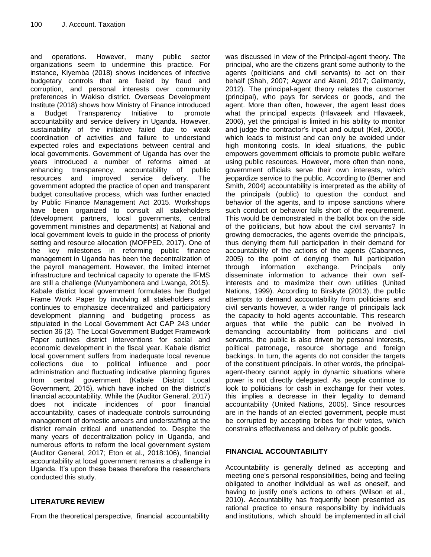and operations. However, many public sector organizations seem to undermine this practice. For instance, Kiyemba (2018) shows incidences of infective budgetary controls that are fueled by fraud and corruption, and personal interests over community preferences in Wakiso district. Overseas Development Institute (2018) shows how Ministry of Finance introduced a Budget Transparency Initiative to promote accountability and service delivery in Uganda. However, sustainability of the initiative failed due to weak coordination of activities and failure to understand expected roles and expectations between central and local governments. Government of Uganda has over the years introduced a number of reforms aimed at enhancing transparency, accountability of public resources and improved service delivery. The government adopted the practice of open and transparent budget consultative process, which was further enacted by Public Finance Management Act 2015. Workshops have been organized to consult all stakeholders (development partners, local governments, central government ministries and departments) at National and local government levels to guide in the process of priority setting and resource allocation (MOFPED, 2017). One of the key milestones in reforming public finance management in Uganda has been the decentralization of the payroll management. However, the limited internet infrastructure and technical capacity to operate the IFMS are still a challenge (Munyambonera and Lwanga, 2015). Kabale district local government formulates her Budget Frame Work Paper by involving all stakeholders and continues to emphasize decentralized and participatory development planning and budgeting process as stipulated in the Local Government Act CAP 243 under section 36 (3). The Local Government Budget Framework Paper outlines district interventions for social and economic development in the fiscal year. Kabale district local government suffers from inadequate local revenue collections due to political influence and poor administration and fluctuating indicative planning figures from central government (Kabale District Local Government, 2015), which have inched on the district's financial accountability. While the (Auditor General, 2017) does not indicate incidences of poor financial accountability, cases of inadequate controls surrounding management of domestic arrears and understaffing at the district remain critical and unattended to. Despite the many years of decentralization policy in Uganda, and numerous efforts to reform the local government system (Auditor General, 2017; Eton et al., 2018:106), financial accountability at local government remains a challenge in Uganda. It's upon these bases therefore the researchers conducted this study.

# **LITERATURE REVIEW**

From the theoretical perspective, financial accountability

was discussed in view of the Principal-agent theory. The principal, who are the citizens grant some authority to the agents (politicians and civil servants) to act on their behalf (Shah, 2007; Agwor and Akani, 2017; Gailmardy, 2012). The principal-agent theory relates the customer (principal), who pays for services or goods, and the agent. More than often, however, the agent least does what the principal expects (Hlavaeek and Hlavaeek, 2006), yet the principal is limited in his ability to monitor and judge the contractor's input and output (Keil, 2005), which leads to mistrust and can only be avoided under high monitoring costs. In ideal situations, the public empowers government officials to promote public welfare using public resources. However, more often than none, government officials serve their own interests, which jeopardize service to the public. According to (Berner and Smith, 2004) accountability is interpreted as the ability of the principals (public) to question the conduct and behavior of the agents, and to impose sanctions where such conduct or behavior falls short of the requirement. This would be demonstrated in the ballot box on the side of the politicians, but how about the civil servants? In growing democracies, the agents override the principals, thus denying them full participation in their demand for accountability of the actions of the agents (Cabannes, 2005) to the point of denying them full participation through information exchange. Principals only disseminate information to advance their own selfinterests and to maximize their own utilities (United Nations, 1999). According to Birskyte (2013), the public attempts to demand accountability from politicians and civil servants however, a wider range of principals lack the capacity to hold agents accountable. This research argues that while the public can be involved in demanding accountability from politicians and civil servants, the public is also driven by personal interests, political patronage, resource shortage and foreign backings. In turn, the agents do not consider the targets of the constituent principals. In other words, the principalagent-theory cannot apply in dynamic situations where power is not directly delegated. As people continue to look to politicians for cash in exchange for their votes, this implies a decrease in their legality to demand accountability (United Nations, 2005). Since resources are in the hands of an elected government, people must be corrupted by accepting bribes for their votes, which constrains effectiveness and delivery of public goods.

# **FINANCIAL ACCOUNTABILITY**

Accountability is generally defined as accepting and meeting one's personal responsibilities, being and feeling obligated to another individual as well as oneself, and having to justify one's actions to others (Wilson et al., 2010). Accountability has frequently been presented as rational practice to ensure responsibility by individuals and institutions, which should be implemented in all civil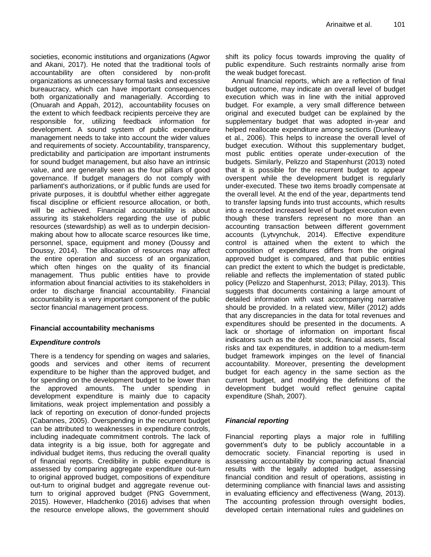societies, economic institutions and organizations (Agwor and Akani, 2017). He noted that the traditional tools of accountability are often considered by non-profit organizations as unnecessary formal tasks and excessive bureaucracy, which can have important consequences both organizationally and managerially. According to (Onuarah and Appah, 2012), accountability focuses on the extent to which feedback recipients perceive they are responsible for, utilizing feedback information for development. A sound system of public expenditure management needs to take into account the wider values and requirements of society. Accountability, transparency, predictability and participation are important instruments for sound budget management, but also have an intrinsic value, and are generally seen as the four pillars of good governance. If budget managers do not comply with parliament's authorizations, or if public funds are used for private purposes, it is doubtful whether either aggregate fiscal discipline or efficient resource allocation, or both, will be achieved. Financial accountability is about assuring its stakeholders regarding the use of public resources (stewardship) as well as to underpin decisionmaking about how to allocate scarce resources like time, personnel, space, equipment and money (Doussy and Doussy, 2014). The allocation of resources may affect the entire operation and success of an organization, which often hinges on the quality of its financial management. Thus public entities have to provide information about financial activities to its stakeholders in order to discharge financial accountability. Financial accountability is a very important component of the public sector financial management process.

#### **Financial accountability mechanisms**

#### *Expenditure controls*

There is a tendency for spending on wages and salaries, goods and services and other items of recurrent expenditure to be higher than the approved budget, and for spending on the development budget to be lower than the approved amounts. The under spending in development expenditure is mainly due to capacity limitations, weak project implementation and possibly a lack of reporting on execution of donor-funded projects (Cabannes, 2005). Overspending in the recurrent budget can be attributed to weaknesses in expenditure controls, including inadequate commitment controls. The lack of data integrity is a big issue, both for aggregate and individual budget items, thus reducing the overall quality of financial reports. Credibility in public expenditure is assessed by comparing aggregate expenditure out-turn to original approved budget, compositions of expenditure out-turn to original budget and aggregate revenue outturn to original approved budget (PNG Government, 2015). However, Hladchenko (2016) advises that when the resource envelope allows, the government should

shift its policy focus towards improving the quality of public expenditure. Such restraints normally arise from the weak budget forecast.

Annual financial reports, which are a reflection of final budget outcome, may indicate an overall level of budget execution which was in line with the initial approved budget. For example, a very small difference between original and executed budget can be explained by the supplementary budget that was adopted in-year and helped reallocate expenditure among sections (Dunleavy et al., 2006). This helps to increase the overall level of budget execution. Without this supplementary budget, most public entities operate under-execution of the budgets. Similarly, Pelizzo and Stapenhurst (2013) noted that it is possible for the recurrent budget to appear overspent while the development budget is regularly under-executed. These two items broadly compensate at the overall level. At the end of the year, departments tend to transfer lapsing funds into trust accounts, which results into a recorded increased level of budget execution even though these transfers represent no more than an accounting transaction between different government accounts (Lytvynchuk, 2014). Effective expenditure control is attained when the extent to which the composition of expenditures differs from the original approved budget is compared, and that public entities can predict the extent to which the budget is predictable, reliable and reflects the implementation of stated public policy (Pelizzo and Stapenhurst, 2013; Pillay, 2013). This suggests that documents containing a large amount of detailed information with vast accompanying narrative should be provided. In a related view, Miller (2012) adds that any discrepancies in the data for total revenues and expenditures should be presented in the documents. A lack or shortage of information on important fiscal indicators such as the debt stock, financial assets, fiscal risks and tax expenditures, in addition to a medium-term budget framework impinges on the level of financial accountability. Moreover, presenting the development budget for each agency in the same section as the current budget, and modifying the definitions of the development budget would reflect genuine capital expenditure (Shah, 2007).

#### *Financial reporting*

Financial reporting plays a major role in fulfilling government"s duty to be publicly accountable in a democratic society. Financial reporting is used in assessing accountability by comparing actual financial results with the legally adopted budget, assessing financial condition and result of operations, assisting in determining compliance with financial laws and assisting in evaluating efficiency and effectiveness (Wang, 2013). The accounting profession through oversight bodies, developed certain international rules and guidelines on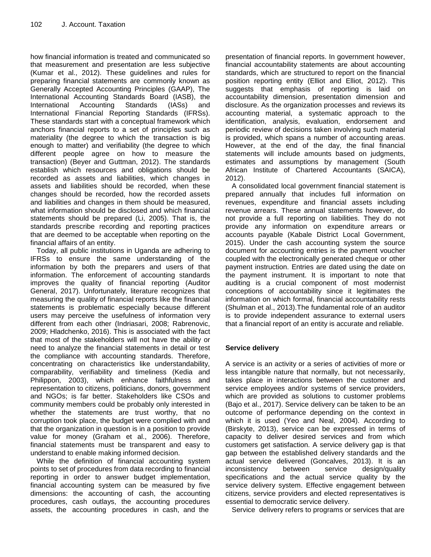how financial information is treated and communicated so that measurement and presentation are less subjective (Kumar et al., 2012). These guidelines and rules for preparing financial statements are commonly known as Generally Accepted Accounting Principles (GAAP), The International Accounting Standards Board (IASB), the International Accounting Standards (IASs) and International Financial Reporting Standards (IFRSs). These standards start with a conceptual framework which anchors financial reports to a set of principles such as materiality (the degree to which the transaction is big enough to matter) and verifiability (the degree to which different people agree on how to measure the transaction) (Beyer and Guttman, 2012). The standards establish which resources and obligations should be recorded as assets and liabilities, which changes in assets and liabilities should be recorded, when these changes should be recorded, how the recorded assets and liabilities and changes in them should be measured, what information should be disclosed and which financial statements should be prepared (Li, 2005). That is, the standards prescribe recording and reporting practices that are deemed to be acceptable when reporting on the financial affairs of an entity.

Today, all public institutions in Uganda are adhering to IFRSs to ensure the same understanding of the information by both the preparers and users of that information. The enforcement of accounting standards improves the quality of financial reporting (Auditor General, 2017). Unfortunately, literature recognizes that measuring the quality of financial reports like the financial statements is problematic especially because different users may perceive the usefulness of information very different from each other (Indriasari, 2008; Rabrenovic, 2009; Hladchenko, 2016). This is associated with the fact that most of the stakeholders will not have the ability or need to analyze the financial statements in detail or test the compliance with accounting standards. Therefore, concentrating on characteristics like understandability, comparability, verifiability and timeliness (Kedia and Philippon, 2003), which enhance faithfulness and representation to citizens, politicians, donors, government and NGOs; is far better. Stakeholders like CSOs and community members could be probably only interested in whether the statements are trust worthy, that no corruption took place, the budget were complied with and that the organization in question is in a position to provide value for money (Graham et al., 2006). Therefore, financial statements must be transparent and easy to understand to enable making informed decision.

While the definition of financial accounting system points to set of procedures from data recording to financial reporting in order to answer budget implementation, financial accounting system can be measured by five dimensions: the accounting of cash, the accounting procedures, cash outlays, the accounting procedures assets, the accounting procedures in cash, and the

presentation of financial reports. In government however, financial accountability statements are about accounting standards, which are structured to report on the financial position reporting entity (Elliot and Elliot, 2012). This suggests that emphasis of reporting is laid on accountability dimension, presentation dimension and disclosure. As the organization processes and reviews its accounting material, a systematic approach to the identification, analysis, evaluation, endorsement and periodic review of decisions taken involving such material is provided, which spans a number of accounting areas. However, at the end of the day, the final financial statements will include amounts based on judgments, estimates and assumptions by management (South African Institute of Chartered Accountants (SAICA), 2012).

A consolidated local government financial statement is prepared annually that includes full information on revenues, expenditure and financial assets including revenue arrears. These annual statements however, do not provide a full reporting on liabilities. They do not provide any information on expenditure arrears or accounts payable (Kabale District Local Government, 2015). Under the cash accounting system the source document for accounting entries is the payment voucher coupled with the electronically generated cheque or other payment instruction. Entries are dated using the date on the payment instrument. It is important to note that auditing is a crucial component of most modernist conceptions of accountability since it legitimates the information on which formal, financial accountability rests (Shulman et al., 2013).The fundamental role of an auditor is to provide independent assurance to external users that a financial report of an entity is accurate and reliable.

# **Service delivery**

A service is an activity or a series of activities of more or less intangible nature that normally, but not necessarily, takes place in interactions between the customer and service employees and/or systems of service providers, which are provided as solutions to customer problems (Bajo et al., 2017). Service delivery can be taken to be an outcome of performance depending on the context in which it is used (Yeo and Neal, 2004). According to (Birskyte, 2013), service can be expressed in terms of capacity to deliver desired services and from which customers get satisfaction. A service delivery gap is that gap between the established delivery standards and the actual service delivered (Goncalves, 2013). It is an inconsistency between service design/quality specifications and the actual service quality by the service delivery system. Effective engagement between citizens, service providers and elected representatives is essential to democratic service delivery.

Service delivery refers to programs or services that are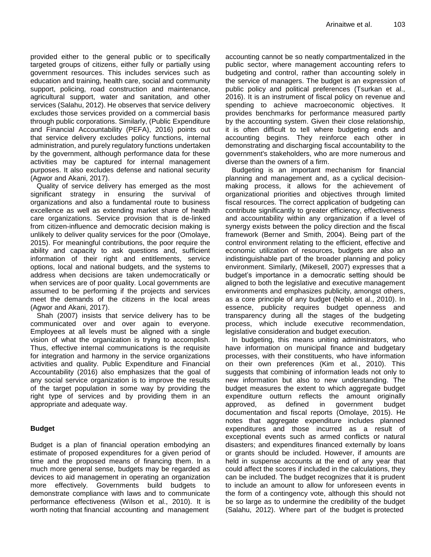provided either to the general public or to specifically targeted groups of citizens, either fully or partially using government resources. This includes services such as education and training, health care, social and community support, policing, road construction and maintenance, agricultural support, water and sanitation, and other services (Salahu, 2012). He observes that service delivery excludes those services provided on a commercial basis through public corporations. Similarly, (Public Expenditure and Financial Accountability (PEFA), 2016) points out that service delivery excludes policy functions, internal administration, and purely regulatory functions undertaken by the government, although performance data for these activities may be captured for internal management purposes. It also excludes defense and national security (Agwor and Akani, 2017).

Quality of service delivery has emerged as the most significant strategy in ensuring the survival of organizations and also a fundamental route to business excellence as well as extending market share of health care organizations. Service provision that is de-linked from citizen-influence and democratic decision making is unlikely to deliver quality services for the poor (Omolaye, 2015). For meaningful contributions, the poor require the ability and capacity to ask questions and, sufficient information of their right and entitlements, service options, local and national budgets, and the systems to address when decisions are taken undemocratically or when services are of poor quality. Local governments are assumed to be performing if the projects and services meet the demands of the citizens in the local areas (Agwor and Akani, 2017).

Shah (2007) insists that service delivery has to be communicated over and over again to everyone. Employees at all levels must be aligned with a single vision of what the organization is trying to accomplish. Thus, effective internal communications is the requisite for integration and harmony in the service organizations activities and quality. Public Expenditure and Financial Accountability (2016) also emphasizes that the goal of any social service organization is to improve the results of the target population in some way by providing the right type of services and by providing them in an appropriate and adequate way.

#### **Budget**

Budget is a plan of financial operation embodying an estimate of proposed expenditures for a given period of time and the proposed means of financing them. In a much more general sense, budgets may be regarded as devices to aid management in operating an organization more effectively. Governments build budgets to demonstrate compliance with laws and to communicate performance effectiveness (Wilson et al., 2010). It is worth noting that financial accounting and management

accounting cannot be so neatly compartmentalized in the public sector, where management accounting refers to budgeting and control, rather than accounting solely in the service of managers. The budget is an expression of public policy and political preferences (Tsurkan et al., 2016). It is an instrument of fiscal policy on revenue and spending to achieve macroeconomic objectives. It provides benchmarks for performance measured partly by the accounting system. Given their close relationship, it is often difficult to tell where budgeting ends and accounting begins. They reinforce each other in demonstrating and discharging fiscal accountability to the government's stakeholders, who are more numerous and diverse than the owners of a firm.

Budgeting is an important mechanism for financial planning and management and, as a cyclical decisionmaking process, it allows for the achievement of organizational priorities and objectives through limited fiscal resources. The correct application of budgeting can contribute significantly to greater efficiency, effectiveness and accountability within any organization if a level of synergy exists between the policy direction and the fiscal framework (Berner and Smith, 2004). Being part of the control environment relating to the efficient, effective and economic utilization of resources, budgets are also an indistinguishable part of the broader planning and policy environment. Similarly, (Mikesell, 2007) expresses that a budget"s importance in a democratic setting should be aligned to both the legislative and executive management environments and emphasizes publicity, amongst others, as a core principle of any budget (Neblo et al., 2010). In essence, publicity requires budget openness and transparency during all the stages of the budgeting process, which include executive recommendation, legislative consideration and budget execution.

In budgeting, this means uniting administrators, who have information on municipal finance and budgetary processes, with their constituents, who have information on their own preferences (Kim et al., 2010). This suggests that combining of information leads not only to new information but also to new understanding. The budget measures the extent to which aggregate budget expenditure outturn reflects the amount originally approved, as defined in government budget documentation and fiscal reports (Omolaye, 2015). He notes that aggregate expenditure includes planned expenditures and those incurred as a result of exceptional events such as armed conflicts or natural disasters; and expenditures financed externally by loans or grants should be included. However, if amounts are held in suspense accounts at the end of any year that could affect the scores if included in the calculations, they can be included. The budget recognizes that it is prudent to include an amount to allow for unforeseen events in the form of a contingency vote, although this should not be so large as to undermine the credibility of the budget (Salahu, 2012). Where part of the budget is protected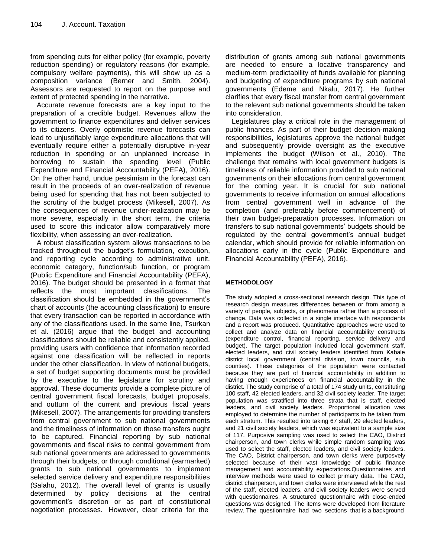from spending cuts for either policy (for example, poverty reduction spending) or regulatory reasons (for example, compulsory welfare payments), this will show up as a composition variance (Berner and Smith, 2004). Assessors are requested to report on the purpose and extent of protected spending in the narrative.

Accurate revenue forecasts are a key input to the preparation of a credible budget. Revenues allow the government to finance expenditures and deliver services to its citizens. Overly optimistic revenue forecasts can lead to unjustifiably large expenditure allocations that will eventually require either a potentially disruptive in-year reduction in spending or an unplanned increase in borrowing to sustain the spending level (Public Expenditure and Financial Accountability (PEFA), 2016). On the other hand, undue pessimism in the forecast can result in the proceeds of an over-realization of revenue being used for spending that has not been subjected to the scrutiny of the budget process (Mikesell, 2007). As the consequences of revenue under-realization may be more severe, especially in the short term, the criteria used to score this indicator allow comparatively more flexibility, when assessing an over-realization.

A robust classification system allows transactions to be tracked throughout the budget"s formulation, execution, and reporting cycle according to administrative unit, economic category, function/sub function, or program (Public Expenditure and Financial Accountability (PEFA), 2016). The budget should be presented in a format that reflects the most important classifications. The classification should be embedded in the government"s chart of accounts (the accounting classification) to ensure that every transaction can be reported in accordance with any of the classifications used. In the same line, Tsurkan et al. (2016) argue that the budget and accounting classifications should be reliable and consistently applied, providing users with confidence that information recorded against one classification will be reflected in reports under the other classification. In view of national budgets, a set of budget supporting documents must be provided by the executive to the legislature for scrutiny and approval. These documents provide a complete picture of central government fiscal forecasts, budget proposals, and outturn of the current and previous fiscal years (Mikesell, 2007). The arrangements for providing transfers from central government to sub national governments and the timeliness of information on those transfers ought to be captured. Financial reporting by sub national governments and fiscal risks to central government from sub national governments are addressed to governments through their budgets, or through conditional (earmarked) grants to sub national governments to implement selected service delivery and expenditure responsibilities (Salahu, 2012). The overall level of grants is usually determined by policy decisions at the central government"s discretion or as part of constitutional negotiation processes. However, clear criteria for the

distribution of grants among sub national governments are needed to ensure a locative transparency and medium-term predictability of funds available for planning and budgeting of expenditure programs by sub national governments (Edeme and Nkalu, 2017). He further clarifies that every fiscal transfer from central government to the relevant sub national governments should be taken into consideration.

Legislatures play a critical role in the management of public finances. As part of their budget decision-making responsibilities, legislatures approve the national budget and subsequently provide oversight as the executive implements the budget (Wilson et al., 2010). The challenge that remains with local government budgets is timeliness of reliable information provided to sub national governments on their allocations from central government for the coming year. It is crucial for sub national governments to receive information on annual allocations from central government well in advance of the completion (and preferably before commencement) of their own budget-preparation processes. Information on transfers to sub national governments" budgets should be regulated by the central government"s annual budget calendar, which should provide for reliable information on allocations early in the cycle (Public Expenditure and Financial Accountability (PEFA), 2016).

#### **METHODOLOGY**

The study adopted a cross-sectional research design. This type of research design measures differences between or from among a variety of people, subjects, or phenomena rather than a process of change. Data was collected in a single interface with respondents and a report was produced. Quantitative approaches were used to collect and analyze data on financial accountability constructs (expenditure control, financial reporting, service delivery and budget). The target population included local government staff, elected leaders, and civil society leaders identified from Kabale district local government (central division, town councils, sub counties). These categories of the population were contacted because they are part of financial accountability in addition to having enough experiences on financial accountability in the district. The study comprise of a total of 174 study units, constituting 100 staff, 42 elected leaders, and 32 civil society leader. The target population was stratified into three strata that is staff, elected leaders, and civil society leaders. Proportional allocation was employed to determine the number of participants to be taken from each stratum. This resulted into taking 67 staff, 29 elected leaders, and 21 civil society leaders, which was equivalent to a sample size of 117. Purposive sampling was used to select the CAO, District chairperson, and town clerks while simple random sampling was used to select the staff, elected leaders, and civil society leaders. The CAO, District chairperson, and town clerks were purposvely selected because of their vast knowledge of public finance management and accountability expectations.Questionnaires and interview methods were used to collect primary data. The CAO, district chairperson, and town clerks were interviewed while the rest of the staff, elected leaders, and civil society leaders were served with questionnaires. A structured questionnaire with close-ended questions was designed. The items were developed from literature review. The questionnaire had two sections that is a background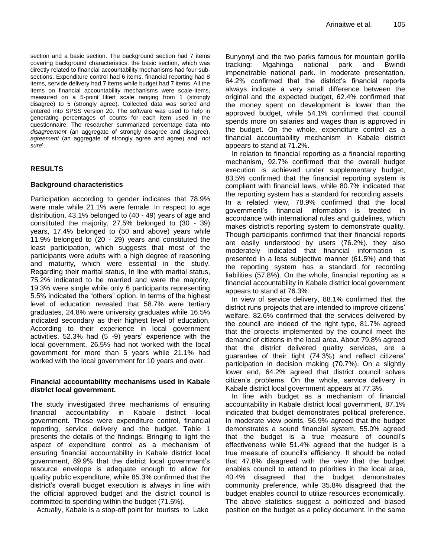section and a basic section. The background section had 7 items covering background characteristics. the basic section, which was directly related to financial accountability mechanisms had four subsections. Expenditure control had 6 items, financial reporting had 8 items, servide delivery had 7 items while budget had 7 items. All the items on financial accountability mechanisms were scale-items, measured on a 5-point likert scale ranging from 1 (strongly disagree) to 5 (strongly agree). Collected data was sorted and entered into SPSS version 20. The software was used to help in generating percentages of counts for each item used in the questionnaire. The researcher summarized percentage data into *disagreement* (an aggregate of strongly disagree and disagree), *agreement* (an aggregate of strongly agree and agree) and "*not sure*".

# **RESULTS**

### **Background characteristics**

Participation according to gender indicates that 78.9% were male while 21.1% were female. In respect to age distribution, 43.1% belonged to (40 - 49) years of age and constituted the majority, 27.5% belonged to (30 - 39) years, 17.4% belonged to (50 and above) years while 11.9% belonged to (20 - 29) years and constituted the least participation, which suggests that most of the participants were adults with a high degree of reasoning and maturity, which were essential in the study. Regarding their marital status, In line with marital status, 75.2% indicated to be married and were the majority, 19.3% were single while only 6 participants representing 5.5% indicated the "others" option. In terms of the highest level of education revealed that 58.7% were tertiary graduates, 24.8% were university graduates while 16.5% indicated secondary as their highest level of education. According to their experience in local government activities, 52.3% had (5 -9) years" experience with the local government, 26.5% had not worked with the local government for more than 5 years while 21.1% had worked with the local government for 10 years and over.

# **Financial accountability mechanisms used in Kabale district local government.**

The study investigated three mechanisms of ensuring financial accountability in Kabale district local government. These were expenditure control, financial reporting, service delivery and the budget. Table 1 presents the details of the findings. Bringing to light the aspect of expenditure control as a mechanism of ensuring financial accountability in Kabale district local government, 89.9% that the district local government"s resource envelope is adequate enough to allow for quality public expenditure, while 85.3% confirmed that the district's overall budget execution is always in line with the official approved budget and the district council is committed to spending within the budget (71.5%).

Actually, Kabale is a stop-off point for tourists to Lake

Bunyonyi and the two parks famous for mountain gorilla tracking: Mgahinga national park and Bwindi impenetrable national park. In moderate presentation, 64.2% confirmed that the district"s financial reports always indicate a very small difference between the original and the expected budget, 62.4% confirmed that the money spent on development is lower than the approved budget, while 54.1% confirmed that council spends more on salaries and wages than is approved in the budget. On the whole, expenditure control as a financial accountability mechanism in Kabale district appears to stand at 71.2%.

In relation to financial reporting as a financial reporting mechanism, 92.7% confirmed that the overall budget execution is achieved under supplementary budget, 83.5% confirmed that the financial reporting system is compliant with financial laws, while 80.7% indicated that the reporting system has a standard for recording assets. In a related view, 78.9% confirmed that the local government"s financial information is treated in accordance with international rules and guidelines, which makes district's reporting system to demonstrate quality. Though participants confirmed that their financial reports are easily understood by users (76.2%), they also moderately indicated that financial information is presented in a less subjective manner (61.5%) and that the reporting system has a standard for recording liabilities (57.8%). On the whole, financial reporting as a financial accountability in Kabale district local government appears to stand at 76.3%.

In view of service delivery, 88.1% confirmed that the district runs projects that are intended to improve citizens" welfare, 82.6% confirmed that the services delivered by the council are indeed of the right type, 81.7% agreed that the projects implemented by the council meet the demand of citizens in the local area. About 79.8% agreed that the district delivered quality services, are a guarantee of their tight (74.3%) and reflect citizens" participation in decision making (70.7%). On a slightly lower end, 64.2% agreed that district council solves citizen"s problems. On the whole, service delivery in Kabale district local government appears at 77.3%.

In line with budget as a mechanism of financial accountability in Kabale district local government, 87.1% indicated that budget demonstrates political preference. In moderate view points, 56.9% agreed that the budget demonstrates a sound financial system, 55.0% agreed that the budget is a true measure of council"s effectiveness while 51.4% agreed that the budget is a true measure of council"s efficiency. It should be noted that 47.8% disagreed with the view that the budget enables council to attend to priorities in the local area, 40.4% disagreed that the budget demonstrates community preference, while 35.8% disagreed that the budget enables council to utilize resources economically. The above statistics suggest a politicized and biased position on the budget as a policy document. In the same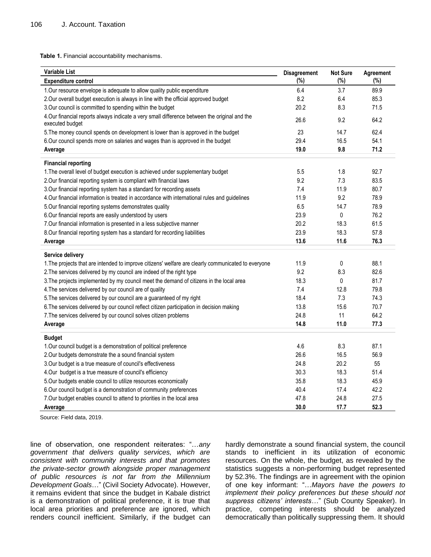**Table 1.** Financial accountability mechanisms.

| <b>Variable List</b>                                                                                             | <b>Disagreement</b> | <b>Not Sure</b> | Agreement |
|------------------------------------------------------------------------------------------------------------------|---------------------|-----------------|-----------|
| <b>Expenditure control</b>                                                                                       | (%)                 | (%)             | (%)       |
| 1. Our resource envelope is adequate to allow quality public expenditure                                         | 6.4                 | 3.7             | 89.9      |
| 2. Our overall budget execution is always in line with the official approved budget                              | 8.2                 | 6.4             | 85.3      |
| 3. Our council is committed to spending within the budget                                                        | 20.2                | 8.3             | 71.5      |
| 4. Our financial reports always indicate a very small difference between the original and the<br>executed budget | 26.6                | 9.2             | 64.2      |
| 5. The money council spends on development is lower than is approved in the budget                               | 23                  | 14.7            | 62.4      |
| 6.Our council spends more on salaries and wages than is approved in the budget                                   | 29.4                | 16.5            | 54.1      |
| Average                                                                                                          | 19.0                | 9.8             | 71.2      |
| <b>Financial reporting</b>                                                                                       |                     |                 |           |
| 1. The overall level of budget execution is achieved under supplementary budget                                  | 5.5                 | 1.8             | 92.7      |
| 2. Our financial reporting system is compliant with financial laws                                               | 9.2                 | 7.3             | 83.5      |
| 3. Our financial reporting system has a standard for recording assets                                            | 7.4                 | 11.9            | 80.7      |
| 4. Our financial information is treated in accordance with international rules and guidelines                    | 11.9                | 9.2             | 78.9      |
| 5. Our financial reporting systems demonstrates quality                                                          | 6.5                 | 14.7            | 78.9      |
| 6.Our financial reports are easily understood by users                                                           | 23.9                | 0               | 76.2      |
| 7. Our financial information is presented in a less subjective manner                                            | 20.2                | 18.3            | 61.5      |
| 8. Our financial reporting system has a standard for recording liabilities                                       | 23.9                | 18.3            | 57.8      |
| Average                                                                                                          | 13.6                | 11.6            | 76.3      |
| Service delivery                                                                                                 |                     |                 |           |
| 1. The projects that are intended to improve citizens' welfare are clearly communicated to everyone              | 11.9                | 0               | 88.1      |
| 2. The services delivered by my council are indeed of the right type                                             | 9.2                 | 8.3             | 82.6      |
| 3. The projects implemented by my council meet the demand of citizens in the local area                          | 18.3                | 0               | 81.7      |
| 4. The services delivered by our council are of quality                                                          | 7.4                 | 12.8            | 79.8      |
| 5. The services delivered by our council are a guaranteed of my right                                            | 18.4                | 7.3             | 74.3      |
| 6. The services delivered by our council reflect citizen participation in decision making                        | 13.8                | 15.6            | 70.7      |
| 7. The services delivered by our council solves citizen problems                                                 | 24.8                | 11              | 64.2      |
| Average                                                                                                          | 14.8                | 11.0            | 77.3      |
| <b>Budget</b>                                                                                                    |                     |                 |           |
| 1. Our council budget is a demonstration of political preference                                                 | 4.6                 | 8.3             | 87.1      |
| 2. Our budgets demonstrate the a sound financial system                                                          | 26.6                | 16.5            | 56.9      |
| 3. Our budget is a true measure of council's effectiveness                                                       | 24.8                | 20.2            | 55        |
| 4.Our budget is a true measure of council's efficiency                                                           | 30.3                | 18.3            | 51.4      |
| 5.Our budgets enable council to utilize resources economically                                                   | 35.8                | 18.3            | 45.9      |
| 6. Our council budget is a demonstration of community preferences                                                | 40.4                | 17.4            | 42.2      |
| 7. Our budget enables council to attend to priorities in the local area                                          | 47.8                | 24.8            | 27.5      |
| Average                                                                                                          | 30.0                | 17.7            | 52.3      |

Source: Field data, 2019.

line of observation, one respondent reiterates: "…*any government that delivers quality services, which are consistent with community interests and that promotes the private-sector growth alongside proper management of public resources is not far from the Millennium Development Goals*…" (Civil Society Advocate). However, it remains evident that since the budget in Kabale district is a demonstration of political preference, it is true that local area priorities and preference are ignored, which renders council inefficient. Similarly, if the budget can

hardly demonstrate a sound financial system, the council stands to inefficient in its utilization of economic resources. On the whole, the budget, as revealed by the statistics suggests a non-performing budget represented by 52.3%. The findings are in agreement with the opinion of one key informant: "…*Mayors have the powers to implement their policy preferences but these should not suppress citizens' interests*…" (Sub County Speaker). In practice, competing interests should be analyzed democratically than politically suppressing them. It should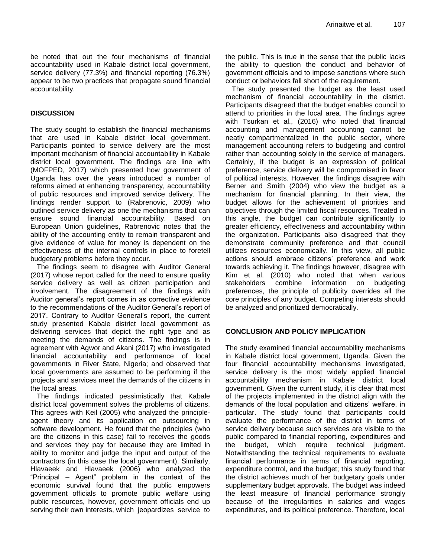be noted that out the four mechanisms of financial accountability used in Kabale district local government, service delivery (77.3%) and financial reporting (76.3%) appear to be two practices that propagate sound financial accountability.

### **DISCUSSION**

The study sought to establish the financial mechanisms that are used in Kabale district local government. Participants pointed to service delivery are the most important mechanism of financial accountability in Kabale district local government. The findings are line with (MOFPED, 2017) which presented how government of Uganda has over the years introduced a number of reforms aimed at enhancing transparency, accountability of public resources and improved service delivery. The findings render support to (Rabrenovic, 2009) who outlined service delivery as one the mechanisms that can ensure sound financial accountability. Based on European Union guidelines, Rabrenovic notes that the ability of the accounting entity to remain transparent and give evidence of value for money is dependent on the effectiveness of the internal controls in place to foretell budgetary problems before they occur.

The findings seem to disagree with Auditor General (2017) whose report called for the need to ensure quality service delivery as well as citizen participation and involvement. The disagreement of the findings with Auditor general"s report comes in as corrective evidence to the recommendations of the Auditor General"s report of 2017. Contrary to Auditor General"s report, the current study presented Kabale district local government as delivering services that depict the right type and as meeting the demands of citizens. The findings is in agreement with Agwor and Akani (2017) who investigated financial accountability and performance of local governments in River State, Nigeria; and observed that local governments are assumed to be performing if the projects and services meet the demands of the citizens in the local areas.

The findings indicated pessimistically that Kabale district local government solves the problems of citizens. This agrees with Keil (2005) who analyzed the principleagent theory and its application on outsourcing in software development. He found that the principles (who are the citizens in this case) fail to receives the goods and services they pay for because they are limited in ability to monitor and judge the input and output of the contractors (in this case the local government). Similarly, Hlavaeek and Hlavaeek (2006) who analyzed the "Principal – Agent" problem in the context of the economic survival found that the public empowers government officials to promote public welfare using public resources, however, government officials end up serving their own interests, which jeopardizes service to the public. This is true in the sense that the public lacks the ability to question the conduct and behavior of government officials and to impose sanctions where such conduct or behaviors fall short of the requirement.

The study presented the budget as the least used mechanism of financial accountability in the district. Participants disagreed that the budget enables council to attend to priorities in the local area. The findings agree with Tsurkan et al., (2016) who noted that financial accounting and management accounting cannot be neatly compartmentalized in the public sector, where management accounting refers to budgeting and control rather than accounting solely in the service of managers. Certainly, if the budget is an expression of political preference, service delivery will be compromised in favor of political interests. However, the findings disagree with Berner and Smith (2004) who view the budget as a mechanism for financial planning. In their view, the budget allows for the achievement of priorities and objectives through the limited fiscal resources. Treated in this angle, the budget can contribute significantly to greater efficiency, effectiveness and accountability within the organization. Participants also disagreed that they demonstrate community preference and that council utilizes resources economically. In this view, all public actions should embrace citizens" preference and work towards achieving it. The findings however, disagree with Kim et al. (2010) who noted that when various stakeholders combine information on budgeting preferences, the principle of publicity overrides all the core principles of any budget. Competing interests should be analyzed and prioritized democratically.

#### **CONCLUSION AND POLICY IMPLICATION**

The study examined financial accountability mechanisms in Kabale district local government, Uganda. Given the four financial accountability mechanisms investigated, service delivery is the most widely applied financial accountability mechanism in Kabale district local government. Given the current study, it is clear that most of the projects implemented in the district align with the demands of the local population and citizens" welfare, in particular. The study found that participants could evaluate the performance of the district in terms of service delivery because such services are visible to the public compared to financial reporting, expenditures and the budget, which require technical judgment. Notwithstanding the technical requirements to evaluate financial performance in terms of financial reporting, expenditure control, and the budget; this study found that the district achieves much of her budgetary goals under supplementary budget approvals. The budget was indeed the least measure of financial performance strongly because of the irregularities in salaries and wages expenditures, and its political preference. Therefore, local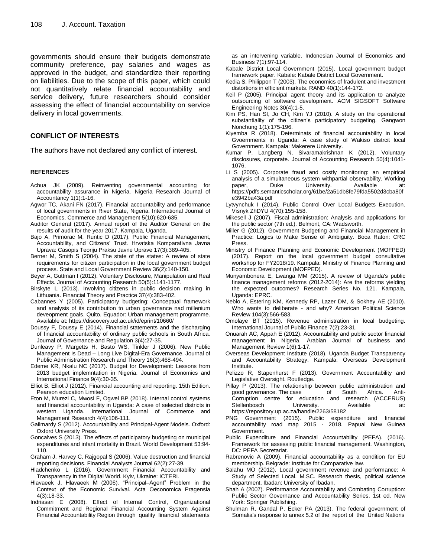governments should ensure their budgets demonstrate community preference, pay salaries and wages as approved in the budget, and standardize their reporting on liabilities. Due to the scope of this paper, which could not quantitatively relate financial accountability and service delivery, future researchers should consider assessing the effect of financial accountability on service delivery in local governments.

#### **CONFLICT OF INTERESTS**

The authors have not declared any conflict of interest.

#### **REFERENCES**

- Achua JK (2009). Reinventing governmental accounting for accountability assurance in Nigeria. Nigeria Research Journal of Accountancy 1(1):1-16.
- Agwor TC, Akani FN (2017). Financial accountability and performance of local governments in River State, Nigeria. International Journal of Economics, Commerce and Management 5(10):620-635.
- Auditor General (2017). Annual report of the Auditor General on the results of audit for the year 2017. Kampala, Uganda.
- Bajo A, Primorac M, Runtic D (2017). Public Financial Management, Accountability, and Citizens" Trust. Hrvatska Komparativna Javna Uprava: Casopis Teoriju Praksu Javne Uprave 17(3):389-405.
- Berner M, Smith S (2004). The state of the states: A review of state requirements for citizen participation in the local government budget process. State and Local Government Review 36(2):140-150.
- Beyer A, Guttman I (2012). Voluntary Disclosure, Manipulation and Real Effects. Journal of Accounting Research 50(5):1141-1177.
- Birskyte L (2013). Involving citizens in public decision making in Lithuania. Financial Theory and Practice 37(4):383-402.
- Cabannes Y (2005). Participatory budgeting: Conceptual framework and analysis of its contribution to urban governance nad millenium deveopment goals. Quito, Equador: Urban management programme. Available at:<https://discovery.ucl.ac.uk/id/eprint/10660/>
- Doussy F, Doussy E (2014). Financial statements and the discharging of financial accountability of ordinary public schools in South Africa. Journal of Governance and Regulation 3(4):27-35.
- Dunleavy P, Margetts H, Basto WS, Tinkler J (2006). New Public Management Is Dead – Long Live Digital-Era Governance. Journal of Public Administration Research and Theory 16(3):468-494.
- Edeme KR, Nkalu NC (2017). Budget for Development: Lessons from 2013 budget implemntation in Nigeria. Journal of Economics and International Finance 9(4):30-35.
- Elliot B, Elliot J (2012). Financial accounting and reporting. 15th Edition. Pearson education Limited.
- Eton M, Murezi C, Mwosi F, Ogwel BP (2018). Internal control systems and financial accountability in Uganda: A case of selected districts in western Uganda. International Journal of Commerce and Management Research 4(4):106-111.
- Gailmardy S (2012). Accountability and Principal-Agent Models. Oxford: Oxford University Press.
- Goncalves S (2013). The effects of participatory budgeting on municipal expenditures and infant mortality in Brazil. World Development 53:94- 110.
- Graham J, Harvey C, Rajgopal S (2006). Value destruction and financial reporting decisions. Financial Analysts Journal 62(2):27-39.
- Hladchenko L (2016). Government Financial Accountability and Transparency in the Digital World. Kyiv, Ukraine: ICTERI.
- Hlavaeek J, Hlavaeek M (2006). "Principal–Agent" Problem in the Context of the Economic Survival. Acta Oeconomica Pragensia 4(3):18-33.
- Indriasari E (2008). Effect of Internal Control, Organizational Commitment and Regional Financial Accounting System Against Financial Accountability Region through quality financial statements

as an intervening variable. Indonesian Journal of Economics and Business 7(1):97-114.

- Kabale District Local Government (2015). Local government budget framework paper. Kabale: Kabale District Local Government.
- Kedia S, Philippon T (2003). The economics of fradulent and investment distortions in efficient markets. RAND 40(1):144-172.
- Keil P (2005). Principal agent theory and its application to analyze outsourcing of software development. ACM SIGSOFT Software Engineering Notes 30(4):1-5.
- Kim PS, Han SI, Jo CH, Kim YJ (2010). A study on the operational substantiality of the citizen's participatory budgeting. Gangwon Nonchung 1(1):175-196.
- Kiyemba R (2018). Determinats of financial accountability in local Gvoernments in Uganda: A case study of Wakiso distrcit local Government. Kampala: Makerere University.
- Kumar P, Langberg N, Sivaramakrishnan K (2012). Voluntary disclosures, corporate. Journal of Accounting Research 50(4):1041- 1076.
- Li S (2005). Corporate fraud and costly monitoring: an empirical analysis of a simultaneous system withpartial observability. Working paper, Duke University. Available at: [https://pdfs.semanticscholar.org/61be/2a51db8fe79fda5502d3cba80f](https://pdfs.semanticscholar.org/61be/2a51db8fe79fda5502d3cba80fe3942ba43a.pdf) [e3942ba43a.pdf](https://pdfs.semanticscholar.org/61be/2a51db8fe79fda5502d3cba80fe3942ba43a.pdf)
- Lytvynchuk I (2014). Public Control Over Local Budgets Execution. Visnyk ZhDYU 4(70):155-158.
- Mikesell J (2007). Fiscal administration: Analysis and applications for the public sector (7th ed.). Belmont, CA: Wadsworth.
- Miller G (2012). Government Budgeting and Financial Management in Practice: Logics to Make Sense of Ambiguity. Boca Raton: CRC Press.
- Ministry of Finance Planning and Economic Development (MOFPED) (2017). Report on the local government budget consultative workshop for FY2018/19. Kampala: Ministry of Finance Planning and Economic Development (MOFPED).
- Munyambonera E, Lwanga MM (2015). A review of Uganda's public finance management reforms (2012-2014): Are the reforms yielding the expected outcomes? Research Series No. 121. Kampala, Uganda: EPRC.
- Neblo A, Estering KM, Kennedy RP, Lazer DM, & Sokhey AE (2010). Who wants to deliberate - and why? American Political Science Review 104(3):566-583.
- Omolaye BT (2015). Revenue administration in local budgeting. International Journal of Public Finance 7(2):23-31.
- Onuarah AC, Appah E (2012). Accountability and public sector financial management in Nigeria. Arabian Journal of business and Management Review 1(6):1-17.
- Overseas Development Institute (2018). Uganda Budget Transparency and Accountability Strategy. Kampala: Overseas Development Institute.
- Pelizzo R, Stapenhurst F (2013). Government Accountability and Legislative Oversight. Routledge.
- Pillay P (2013). The relationship between public administration and<br>good governance. The case of South Africa. Antigood governance. The case of South Africa. Anti-Corruption centre for education and research (ACCERUS) Stellenbosch University. Available at: <https://repository.up.ac.za/handle/2263/58182>
- PNG Government (2015). Public expenditure and financial accountability road map 2015 - 2018*.* Papual New Guinea Government.
- Public Expenditure and Financial Accountability (PEFA). (2016). Framework for assessing public financial management. Washington, DC: PEFA Secretariat.
- Rabrenovic A (2009). Financial accountability as a condition for EU membership. Belgrade: Institute for Comparative law.
- Salahu MO (2012). Local government revenue and performance: A Study of Selected Local. M.SC. Research thesis, political science department. Ibadan: University of Ibadan.
- Shah A (2007). Performance Accountability and Combating Corruption: Public Sector Governance and Accountability Series. 1st ed. New York: Springer Publishing.
- Shulman R, Gandal P, Ecker PA (2013). The federal government of Somalia's response to annex 5.2 of the report of the United Nations